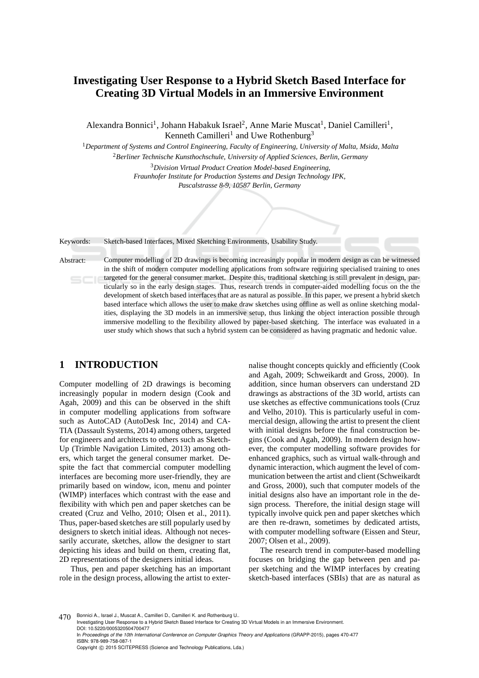# **Investigating User Response to a Hybrid Sketch Based Interface for Creating 3D Virtual Models in an Immersive Environment**

Alexandra Bonnici<sup>1</sup>, Johann Habakuk Israel<sup>2</sup>, Anne Marie Muscat<sup>1</sup>, Daniel Camilleri<sup>1</sup>, Kenneth Camilleri<sup>1</sup> and Uwe Rothenburg<sup>3</sup>

<sup>1</sup>*Department of Systems and Control Engineering, Faculty of Engineering, University of Malta, Msida, Malta* <sup>2</sup>*Berliner Technische Kunsthochschule, University of Applied Sciences, Berlin, Germany*

<sup>3</sup>*Division Virtual Product Creation Model-based Engineering,*

*Fraunhofer Institute for Production Systems and Design Technology IPK,*

*Pascalstrasse 8-9, 10587 Berlin, Germany*

Keywords: Sketch-based Interfaces, Mixed Sketching Environments, Usability Study.

Abstract: Computer modelling of 2D drawings is becoming increasingly popular in modern design as can be witnessed in the shift of modern computer modelling applications from software requiring specialised training to ones targeted for the general consumer market. Despite this, traditional sketching is still prevalent in design, particularly so in the early design stages. Thus, research trends in computer-aided modelling focus on the the development of sketch based interfaces that are as natural as possible. In this paper, we present a hybrid sketch based interface which allows the user to make draw sketches using offline as well as online sketching modalities, displaying the 3D models in an immersive setup, thus linking the object interaction possible through immersive modelling to the flexibility allowed by paper-based sketching. The interface was evaluated in a user study which shows that such a hybrid system can be considered as having pragmatic and hedonic value.

## **1 INTRODUCTION**

Computer modelling of 2D drawings is becoming increasingly popular in modern design (Cook and Agah, 2009) and this can be observed in the shift in computer modelling applications from software such as AutoCAD (AutoDesk Inc, 2014) and CA-TIA (Dassault Systems, 2014) among others, targeted for engineers and architects to others such as Sketch-Up (Trimble Navigation Limited, 2013) among others, which target the general consumer market. Despite the fact that commercial computer modelling interfaces are becoming more user-friendly, they are primarily based on window, icon, menu and pointer (WIMP) interfaces which contrast with the ease and flexibility with which pen and paper sketches can be created (Cruz and Velho, 2010; Olsen et al., 2011). Thus, paper-based sketches are still popularly used by designers to sketch initial ideas. Although not necessarily accurate, sketches, allow the designer to start depicting his ideas and build on them, creating flat, 2D representations of the designers initial ideas.

Thus, pen and paper sketching has an important role in the design process, allowing the artist to exter-

nalise thought concepts quickly and efficiently (Cook and Agah, 2009; Schweikardt and Gross, 2000). In addition, since human observers can understand 2D drawings as abstractions of the 3D world, artists can use sketches as effective communications tools (Cruz and Velho, 2010). This is particularly useful in commercial design, allowing the artist to present the client with initial designs before the final construction begins (Cook and Agah, 2009). In modern design however, the computer modelling software provides for enhanced graphics, such as virtual walk-through and dynamic interaction, which augment the level of communication between the artist and client (Schweikardt and Gross, 2000), such that computer models of the initial designs also have an important role in the design process. Therefore, the initial design stage will typically involve quick pen and paper sketches which are then re-drawn, sometimes by dedicated artists, with computer modelling software (Eissen and Steur, 2007; Olsen et al., 2009).

The research trend in computer-based modelling focuses on bridging the gap between pen and paper sketching and the WIMP interfaces by creating sketch-based interfaces (SBIs) that are as natural as

470 Bonnici A., Israel J., Muscat A., Camilleri D., Camilleri K. and Rothenburg U. Investigating User Response to a Hybrid Sketch Based Interface for Creating 3D Virtual Models in an Immersive Environment. DOI: 10.5220/0005320504700477 In *Proceedings of the 10th International Conference on Computer Graphics Theory and Applications* (GRAPP-2015), pages 470-477 ISBN: 978-989-758-087-1 Copyright (C) 2015 SCITEPRESS (Science and Technology Publications, Lda.)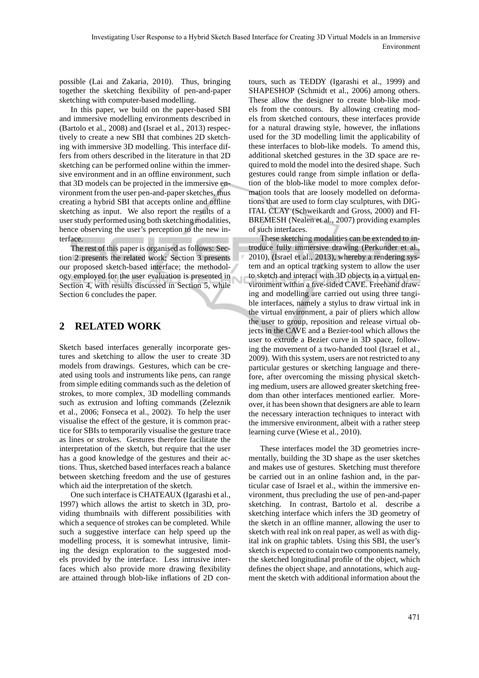possible (Lai and Zakaria, 2010). Thus, bringing together the sketching flexibility of pen-and-paper sketching with computer-based modelling.

In this paper, we build on the paper-based SBI and immersive modelling environments described in (Bartolo et al., 2008) and (Israel et al., 2013) respectively to create a new SBI that combines 2D sketching with immersive 3D modelling. This interface differs from others described in the literature in that 2D sketching can be performed online within the immersive environment and in an offline environment, such that 3D models can be projected in the immersive environment from the user pen-and-paper sketches, thus creating a hybrid SBI that accepts online and offline sketching as input. We also report the results of a user study performed using both sketching modalities, hence observing the user's perception to the new interface.

The rest of this paper is organised as follows: Section 2 presents the related work; Section 3 presents our proposed sketch-based interface; the methodology employed for the user evaluation is presented in Section 4, with results discussed in Section 5, while Section 6 concludes the paper.

## **2 RELATED WORK**

Sketch based interfaces generally incorporate gestures and sketching to allow the user to create 3D models from drawings. Gestures, which can be created using tools and instruments like pens, can range from simple editing commands such as the deletion of strokes, to more complex, 3D modelling commands such as extrusion and lofting commands (Zeleznik et al., 2006; Fonseca et al., 2002). To help the user visualise the effect of the gesture, it is common practice for SBIs to temporarily visualise the gesture trace as lines or strokes. Gestures therefore facilitate the interpretation of the sketch, but require that the user has a good knowledge of the gestures and their actions. Thus, sketched based interfaces reach a balance between sketching freedom and the use of gestures which aid the interpretation of the sketch.

One such interface is CHATEAUX (Igarashi et al., 1997) which allows the artist to sketch in 3D, providing thumbnails with different possibilities with which a sequence of strokes can be completed. While such a suggestive interface can help speed up the modelling process, it is somewhat intrusive, limiting the design exploration to the suggested models provided by the interface. Less intrusive interfaces which also provide more drawing flexibility are attained through blob-like inflations of 2D contours, such as TEDDY (Igarashi et al., 1999) and SHAPESHOP (Schmidt et al., 2006) among others. These allow the designer to create blob-like models from the contours. By allowing creating models from sketched contours, these interfaces provide for a natural drawing style, however, the inflations used for the 3D modelling limit the applicability of these interfaces to blob-like models. To amend this, additional sketched gestures in the 3D space are required to mold the model into the desired shape. Such gestures could range from simple inflation or deflation of the blob-like model to more complex deformation tools that are loosely modelled on deformations that are used to form clay sculptures, with DIG-ITAL CLAY (Schweikardt and Gross, 2000) and FI-BREMESH (Nealen et al., 2007) providing examples of such interfaces.

These sketching modalities can be extended to introduce fully immersive drawing (Perkunder et al., 2010), (Israel et al., 2013), whereby a rendering system and an optical tracking system to allow the user to sketch and interact with 3D objects in a virtual environment within a five-sided CAVE. Freehand drawing and modelling are carried out using three tangible interfaces, namely a stylus to draw virtual ink in the virtual environment, a pair of pliers which allow the user to group, reposition and release virtual objects in the CAVE and a Bezier-tool which allows the user to extrude a Bezier curve in 3D space, following the movement of a two-handed tool (Israel et al., 2009). With this system, users are not restricted to any particular gestures or sketching language and therefore, after overcoming the missing physical sketching medium, users are allowed greater sketching freedom than other interfaces mentioned earlier. Moreover, it has been shown that designers are able to learn the necessary interaction techniques to interact with the immersive environment, albeit with a rather steep learning curve (Wiese et al., 2010).

These interfaces model the 3D geometries incrementally, building the 3D shape as the user sketches and makes use of gestures. Sketching must therefore be carried out in an online fashion and, in the particular case of Israel et al., within the immersive environment, thus precluding the use of pen-and-paper sketching. In contrast, Bartolo et al. describe a sketching interface which infers the 3D geometry of the sketch in an offline manner, allowing the user to sketch with real ink on real paper, as well as with digital ink on graphic tablets. Using this SBI, the user's sketch is expected to contain two components namely, the sketched longitudinal profile of the object, which defines the object shape, and annotations, which augment the sketch with additional information about the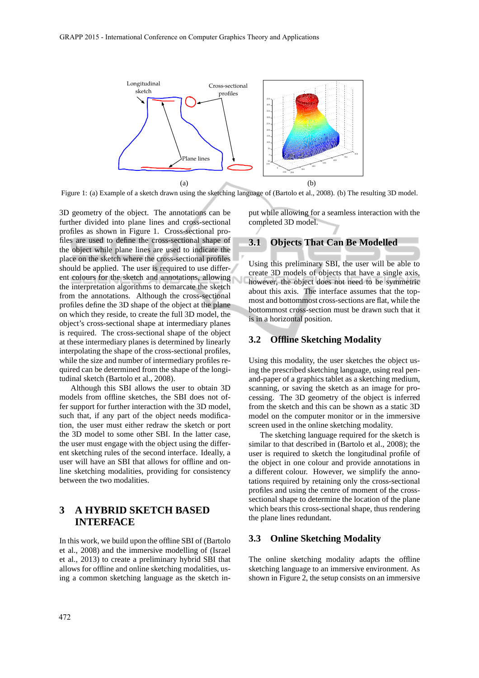

Figure 1: (a) Example of a sketch drawn using the sketching language of (Bartolo et al., 2008). (b) The resulting 3D model.

3D geometry of the object. The annotations can be further divided into plane lines and cross-sectional profiles as shown in Figure 1. Cross-sectional profiles are used to define the cross-sectional shape of the object while plane lines are used to indicate the place on the sketch where the cross-sectional profiles should be applied. The user is required to use different colours for the sketch and annotations, allowing the interpretation algorithms to demarcate the sketch from the annotations. Although the cross-sectional profiles define the 3D shape of the object at the plane on which they reside, to create the full 3D model, the object's cross-sectional shape at intermediary planes is required. The cross-sectional shape of the object at these intermediary planes is determined by linearly interpolating the shape of the cross-sectional profiles, while the size and number of intermediary profiles required can be determined from the shape of the longitudinal sketch (Bartolo et al., 2008).

Although this SBI allows the user to obtain 3D models from offline sketches, the SBI does not offer support for further interaction with the 3D model, such that, if any part of the object needs modification, the user must either redraw the sketch or port the 3D model to some other SBI. In the latter case, the user must engage with the object using the different sketching rules of the second interface. Ideally, a user will have an SBI that allows for offline and online sketching modalities, providing for consistency between the two modalities.

## **3 A HYBRID SKETCH BASED INTERFACE**

In this work, we build upon the offline SBI of (Bartolo et al., 2008) and the immersive modelling of (Israel et al., 2013) to create a preliminary hybrid SBI that allows for offline and online sketching modalities, using a common sketching language as the sketch input while allowing for a seamless interaction with the completed 3D model.

#### **3.1 Objects That Can Be Modelled**

Using this preliminary SBI, the user will be able to create 3D models of objects that have a single axis, however, the object does not need to be symmetric about this axis. The interface assumes that the topmost and bottommost cross-sections are flat, while the bottommost cross-section must be drawn such that it is in a horizontal position.

#### **3.2 Offline Sketching Modality**

Using this modality, the user sketches the object using the prescribed sketching language, using real penand-paper of a graphics tablet as a sketching medium, scanning, or saving the sketch as an image for processing. The 3D geometry of the object is inferred from the sketch and this can be shown as a static 3D model on the computer monitor or in the immersive screen used in the online sketching modality.

The sketching language required for the sketch is similar to that described in (Bartolo et al., 2008); the user is required to sketch the longitudinal profile of the object in one colour and provide annotations in a different colour. However, we simplify the annotations required by retaining only the cross-sectional profiles and using the centre of moment of the crosssectional shape to determine the location of the plane which bears this cross-sectional shape, thus rendering the plane lines redundant.

#### **3.3 Online Sketching Modality**

The online sketching modality adapts the offline sketching language to an immersive environment. As shown in Figure 2, the setup consists on an immersive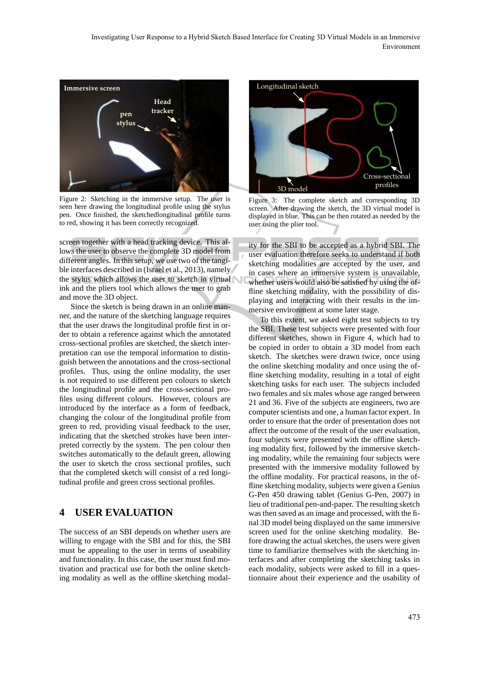Investigating User Response to a Hybrid Sketch Based Interface for Creating 3D Virtual Models in an Immersive Environment



Figure 2: Sketching in the immersive setup. The user is seen here drawing the longitudinal profile using the stylus pen. Once finished, the sketchedlongitudinal profile turns to red, showing it has been correctly recognized.

screen together with a head tracking device. This allows the user to observe the complete 3D model from different angles. In this setup, we use two of the tangible interfaces described in (Israel et al., 2013), namely the stylus which allows the user to sketch in virtual ink and the pliers tool which allows the user to grab and move the 3D object.

Since the sketch is being drawn in an online manner, and the nature of the sketching language requires that the user draws the longitudinal profile first in order to obtain a reference against which the annotated cross-sectional profiles are sketched, the sketch interpretation can use the temporal information to distinguish between the annotations and the cross-sectional profiles. Thus, using the online modality, the user is not required to use different pen colours to sketch the longitudinal profile and the cross-sectional profiles using different colours. However, colours are introduced by the interface as a form of feedback, changing the colour of the longitudinal profile from green to red, providing visual feedback to the user, indicating that the sketched strokes have been interpreted correctly by the system. The pen colour then switches automatically to the default green, allowing the user to sketch the cross sectional profiles, such that the completed sketch will consist of a red longitudinal profile and green cross sectional profiles.

#### **4 USER EVALUATION**

The success of an SBI depends on whether users are willing to engage with the SBI and for this, the SBI must be appealing to the user in terms of useability and functionality. In this case, the user must find motivation and practical use for both the online sketching modality as well as the offline sketching modal-



Figure 3: The complete sketch and corresponding 3D screen. After drawing the sketch, the 3D virtual model is displayed in blue. This can be then rotated as needed by the user using the plier tool.

ity for the SBI to be accepted as a hybrid SBI. The user evaluation therefore seeks to understand if both sketching modalities are accepted by the user, and in cases where an immersive system is unavailable, whether users would also be satisfied by using the offline sketching modality, with the possibility of displaying and interacting with their results in the immersive environment at some later stage.

To this extent, we asked eight test subjects to try the SBI. These test subjects were presented with four different sketches, shown in Figure 4, which had to be copied in order to obtain a 3D model from each sketch. The sketches were drawn twice, once using the online sketching modality and once using the offline sketching modality, resulting in a total of eight sketching tasks for each user. The subjects included two females and six males whose age ranged between 21 and 36. Five of the subjects are engineers, two are computer scientists and one, a human factor expert. In order to ensure that the order of presentation does not affect the outcome of the result of the user evaluation, four subjects were presented with the offline sketching modality first, followed by the immersive sketching modality, while the remaining four subjects were presented with the immersive modality followed by the offline modality. For practical reasons, in the offline sketching modality, subjects were given a Genius G-Pen 450 drawing tablet (Genius G-Pen, 2007) in lieu of traditional pen-and-paper. The resulting sketch was then saved as an image and processed, with the final 3D model being displayed on the same immersive screen used for the online sketching modality. Before drawing the actual sketches, the users were given time to familiarize themselves with the sketching interfaces and after completing the sketching tasks in each modality, subjects were asked to fill in a questionnaire about their experience and the usability of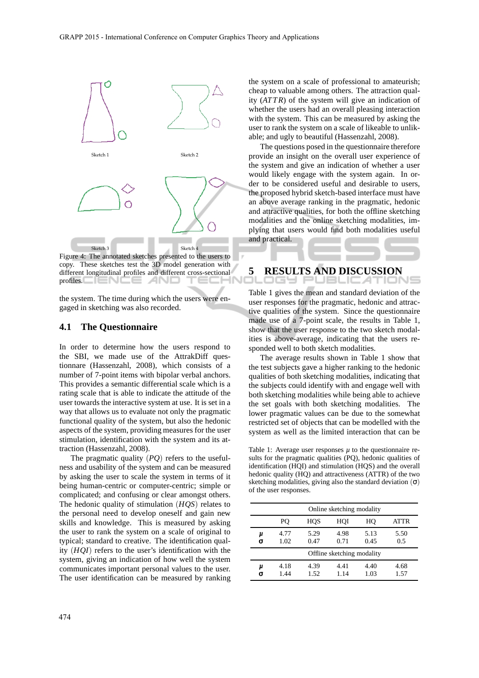

Figure 4: The annotated sketches presented to the users to copy. These sketches test the 3D model generation with different longitudinal profiles and different cross-sectional profiles. = 1 N 1 e anu

the system. The time during which the users were engaged in sketching was also recorded.

#### **4.1 The Questionnaire**

In order to determine how the users respond to the SBI, we made use of the AttrakDiff questionnare (Hassenzahl, 2008), which consists of a number of 7-point items with bipolar verbal anchors. This provides a semantic differential scale which is a rating scale that is able to indicate the attitude of the user towards the interactive system at use. It is set in a way that allows us to evaluate not only the pragmatic functional quality of the system, but also the hedonic aspects of the system, providing measures for the user stimulation, identification with the system and its attraction (Hassenzahl, 2008).

The pragmatic quality (*PQ*) refers to the usefulness and usability of the system and can be measured by asking the user to scale the system in terms of it being human-centric or computer-centric; simple or complicated; and confusing or clear amongst others. The hedonic quality of stimulation (*HQS*) relates to the personal need to develop oneself and gain new skills and knowledge. This is measured by asking the user to rank the system on a scale of original to typical; standard to creative. The identification quality (*HQI*) refers to the user's identification with the system, giving an indication of how well the system communicates important personal values to the user. The user identification can be measured by ranking

the system on a scale of professional to amateurish; cheap to valuable among others. The attraction quality (*ATT R*) of the system will give an indication of whether the users had an overall pleasing interaction with the system. This can be measured by asking the user to rank the system on a scale of likeable to unlikable; and ugly to beautiful (Hassenzahl, 2008).

The questions posed in the questionnaire therefore provide an insight on the overall user experience of the system and give an indication of whether a user would likely engage with the system again. In order to be considered useful and desirable to users, the proposed hybrid sketch-based interface must have an above average ranking in the pragmatic, hedonic and attractive qualities, for both the offline sketching modalities and the online sketching modalities, implying that users would find both modalities useful and practical.

# **5 RESULTS AND DISCUSSION**

Table 1 gives the mean and standard deviation of the user responses for the pragmatic, hedonic and attractive qualities of the system. Since the questionnaire made use of a 7-point scale, the results in Table 1, show that the user response to the two sketch modalities is above-average, indicating that the users responded well to both sketch modalities.

The average results shown in Table 1 show that the test subjects gave a higher ranking to the hedonic qualities of both sketching modalities, indicating that the subjects could identify with and engage well with both sketching modalities while being able to achieve the set goals with both sketching modalities. The lower pragmatic values can be due to the somewhat restricted set of objects that can be modelled with the system as well as the limited interaction that can be

Table 1: Average user responses *u* to the questionnaire results for the pragmatic qualities (PQ), hedonic qualities of identification (HQI) and stimulation (HQS) and the overall hedonic quality (HQ) and attractiveness (ATTR) of the two sketching modalities, giving also the standard deviation  $(\sigma)$ of the user responses.

|        | Online sketching modality  |              |              |              |              |  |
|--------|----------------------------|--------------|--------------|--------------|--------------|--|
|        | PО                         | <b>HOS</b>   | HOI          | HО           | ATTR         |  |
| μ<br>σ | 4.77<br>1.02               | 5.29<br>0.47 | 4.98<br>0.71 | 5.13<br>0.45 | 5.50<br>0.5  |  |
|        | Offline sketching modality |              |              |              |              |  |
| μ<br>σ | 4.18<br>1.44               | 4.39<br>1.52 | 4.41<br>1.14 | 4.40<br>1.03 | 4.68<br>1.57 |  |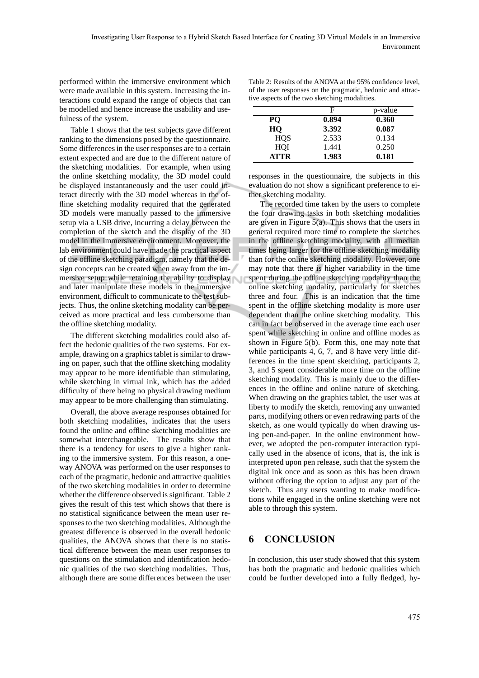performed within the immersive environment which were made available in this system. Increasing the interactions could expand the range of objects that can be modelled and hence increase the usability and usefulness of the system.

Table 1 shows that the test subjects gave different ranking to the dimensions posed by the questionnaire. Some differences in the user responses are to a certain extent expected and are due to the different nature of the sketching modalities. For example, when using the online sketching modality, the 3D model could be displayed instantaneously and the user could interact directly with the 3D model whereas in the offline sketching modality required that the generated 3D models were manually passed to the immersive setup via a USB drive, incurring a delay between the completion of the sketch and the display of the 3D model in the immersive environment. Moreover, the lab environment could have made the practical aspect of the offline sketching paradigm, namely that the design concepts can be created when away from the immersive setup while retaining the ability to display and later manipulate these models in the immersive environment, difficult to communicate to the test subjects. Thus, the online sketching modality can be perceived as more practical and less cumbersome than the offline sketching modality.

The different sketching modalities could also affect the hedonic qualities of the two systems. For example, drawing on a graphics tablet is similar to drawing on paper, such that the offline sketching modality may appear to be more identifiable than stimulating, while sketching in virtual ink, which has the added difficulty of there being no physical drawing medium may appear to be more challenging than stimulating.

Overall, the above average responses obtained for both sketching modalities, indicates that the users found the online and offline sketching modalities are somewhat interchangeable. The results show that there is a tendency for users to give a higher ranking to the immersive system. For this reason, a oneway ANOVA was performed on the user responses to each of the pragmatic, hedonic and attractive qualities of the two sketching modalities in order to determine whether the difference observed is significant. Table 2 gives the result of this test which shows that there is no statistical significance between the mean user responses to the two sketching modalities. Although the greatest difference is observed in the overall hedonic qualities, the ANOVA shows that there is no statistical difference between the mean user responses to questions on the stimulation and identification hedonic qualities of the two sketching modalities. Thus, although there are some differences between the user

Table 2: Results of the ANOVA at the 95% confidence level, of the user responses on the pragmatic, hedonic and attractive aspects of the two sketching modalities.

|             | F     | p-value |
|-------------|-------|---------|
| PO          | 0.894 | 0.360   |
| HQ          | 3.392 | 0.087   |
| <b>HOS</b>  | 2.533 | 0.134   |
| HOI         | 1.441 | 0.250   |
| <b>ATTR</b> | 1.983 | 0.181   |

responses in the questionnaire, the subjects in this evaluation do not show a significant preference to either sketching modality.

The recorded time taken by the users to complete the four drawing tasks in both sketching modalities are given in Figure  $5(a)$ . This shows that the users in general required more time to complete the sketches in the offline sketching modality, with all median times being larger for the offline sketching modality than for the online sketching modality. However, one may note that there is higher variability in the time spent during the offline sketching modality than the online sketching modality, particularly for sketches three and four. This is an indication that the time spent in the offline sketching modality is more user dependent than the online sketching modality. This can in fact be observed in the average time each user spent while sketching in online and offline modes as shown in Figure 5(b). Form this, one may note that while participants 4, 6, 7, and 8 have very little differences in the time spent sketching, participants 2, 3, and 5 spent considerable more time on the offline sketching modality. This is mainly due to the differences in the offline and online nature of sketching. When drawing on the graphics tablet, the user was at liberty to modify the sketch, removing any unwanted parts, modifying others or even redrawing parts of the sketch, as one would typically do when drawing using pen-and-paper. In the online environment however, we adopted the pen-computer interaction typically used in the absence of icons, that is, the ink is interpreted upon pen release, such that the system the digital ink once and as soon as this has been drawn without offering the option to adjust any part of the sketch. Thus any users wanting to make modifications while engaged in the online sketching were not able to through this system.

#### **6 CONCLUSION**

In conclusion, this user study showed that this system has both the pragmatic and hedonic qualities which could be further developed into a fully fledged, hy-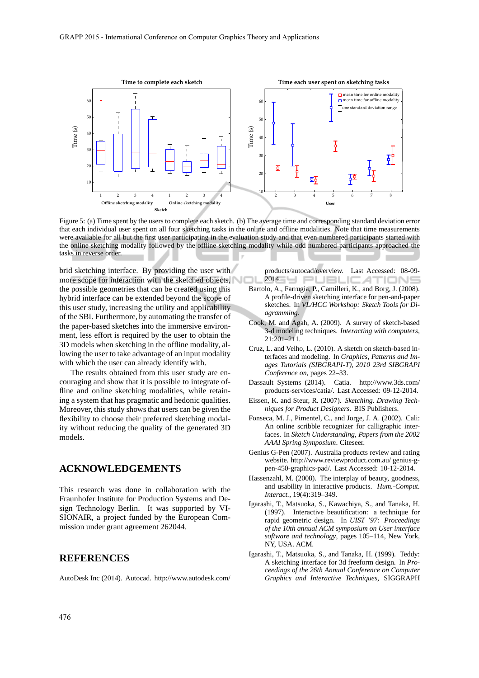

Figure 5: (a) Time spent by the users to complete each sketch. (b) The average time and corresponding standard deviation error that each individual user spent on all four sketching tasks in the online and offline modalities. Note that time measurements were available for all but the first user participating in the evaluation study and that even numbered participants started with the online sketching modality followed by the offline sketching modality while odd numbered participants approached the tasks in reverse order.

brid sketching interface. By providing the user with more scope for interaction with the sketched objects, the possible geometries that can be created using this hybrid interface can be extended beyond the scope of this user study, increasing the utility and applicability of the SBI. Furthermore, by automating the transfer of the paper-based sketches into the immersive environment, less effort is required by the user to obtain the 3D models when sketching in the offline modality, allowing the user to take advantage of an input modality with which the user can already identify with.

The results obtained from this user study are encouraging and show that it is possible to integrate offline and online sketching modalities, while retaining a system that has pragmatic and hedonic qualities. Moreover, this study shows that users can be given the flexibility to choose their preferred sketching modality without reducing the quality of the generated 3D models.

#### **ACKNOWLEDGEMENTS**

This research was done in collaboration with the Fraunhofer Institute for Production Systems and Design Technology Berlin. It was supported by VI-SIONAIR, a project funded by the European Commission under grant agreement 262044.

### **REFERENCES**

AutoDesk Inc (2014). Autocad. http://www.autodesk.com/

products/autocad/overview. Last Accessed: 08-09-  $2014.$ 

- Bartolo, A., Farrugia, P., Camilleri, K., and Borg, J. (2008). A profile-driven sketching interface for pen-and-paper sketches. In *VL/HCC Workshop: Sketch Tools for Diagramming*.
- Cook, M. and Agah, A. (2009). A survey of sketch-based 3-d modeling techniques. *Interacting with computers*, 21:201–211.
- Cruz, L. and Velho, L. (2010). A sketch on sketch-based interfaces and modeling. In *Graphics, Patterns and Images Tutorials (SIBGRAPI-T), 2010 23rd SIBGRAPI Conference on*, pages 22–33.
- Dassault Systems (2014). Catia. http://www.3ds.com/ products-services/catia/. Last Accessed: 09-12-2014.
- Eissen, K. and Steur, R. (2007). *Sketching. Drawing Techniques for Product Designers*. BIS Publishers.
- Fonseca, M. J., Pimentel, C., and Jorge, J. A. (2002). Cali: An online scribble recognizer for calligraphic interfaces. In *Sketch Understanding, Papers from the 2002 AAAI Spring Symposium*. Citeseer.
- Genius G-Pen (2007). Australia products review and rating website. http://www.reviewproduct.com.au/ genius-gpen-450-graphics-pad/. Last Accessed: 10-12-2014.
- Hassenzahl, M. (2008). The interplay of beauty, goodness, and usability in interactive products. *Hum.-Comput. Interact.*, 19(4):319–349.
- Igarashi, T., Matsuoka, S., Kawachiya, S., and Tanaka, H. (1997). Interactive beautification: a technique for rapid geometric design. In *UIST '97: Proceedings of the 10th annual ACM symposium on User interface software and technology*, pages 105–114, New York, NY, USA. ACM.
- Igarashi, T., Matsuoka, S., and Tanaka, H. (1999). Teddy: A sketching interface for 3d freeform design. In *Proceedings of the 26th Annual Conference on Computer Graphics and Interactive Techniques*, SIGGRAPH